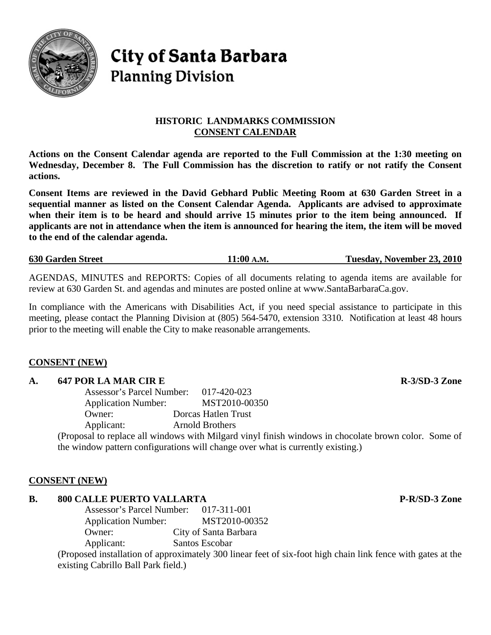

# **City of Santa Barbara Planning Division**

# **HISTORIC LANDMARKS COMMISSION CONSENT CALENDAR**

**Actions on the Consent Calendar agenda are reported to the Full Commission at the 1:30 meeting on Wednesday, December 8. The Full Commission has the discretion to ratify or not ratify the Consent actions.** 

**Consent Items are reviewed in the David Gebhard Public Meeting Room at 630 Garden Street in a sequential manner as listed on the Consent Calendar Agenda. Applicants are advised to approximate when their item is to be heard and should arrive 15 minutes prior to the item being announced. If applicants are not in attendance when the item is announced for hearing the item, the item will be moved to the end of the calendar agenda.** 

**630 Garden Street 11:00 A.M. Tuesday, November 23, 2010**

AGENDAS, MINUTES and REPORTS: Copies of all documents relating to agenda items are available for review at 630 Garden St. and agendas and minutes are posted online at www.SantaBarbaraCa.gov.

In compliance with the Americans with Disabilities Act, if you need special assistance to participate in this meeting, please contact the Planning Division at (805) 564-5470, extension 3310. Notification at least 48 hours prior to the meeting will enable the City to make reasonable arrangements.

# **CONSENT (NEW)**

# A. 647 POR LA MAR CIR E RESOLUTION AND R-3/SD-3 Zone

Assessor's Parcel Number: 017-420-023 Application Number: MST2010-00350 Owner: Dorcas Hatlen Trust Applicant: Arnold Brothers

(Proposal to replace all windows with Milgard vinyl finish windows in chocolate brown color. Some of the window pattern configurations will change over what is currently existing.)

# **CONSENT (NEW)**

# **B.** 800 CALLE PUERTO VALLARTA P-R/SD-3 Zone

Assessor's Parcel Number: 017-311-001 Application Number: MST2010-00352 Owner: City of Santa Barbara Applicant: Santos Escobar

(Proposed installation of approximately 300 linear feet of six-foot high chain link fence with gates at the existing Cabrillo Ball Park field.)